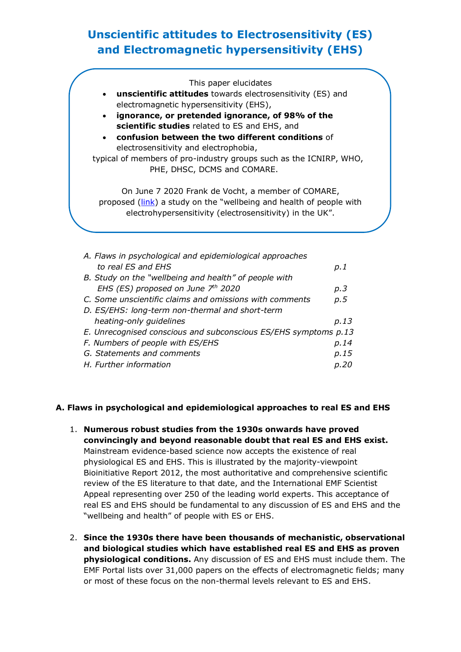# **Unscientific attitudes to Electrosensitivity (ES) and Electromagnetic hypersensitivity (EHS)**

This paper elucidates • **unscientific attitudes** towards electrosensitivity (ES) and electromagnetic hypersensitivity (EHS), • **ignorance, or pretended ignorance, of 98% of the scientific studies** related to ES and EHS, and • **confusion between the two different conditions** of electrosensitivity and electrophobia, typical of members of pro-industry groups such as the ICNIRP, WHO, PHE, DHSC, DCMS and COMARE. On June 7 2020 Frank de Vocht, a member of COMARE, proposed [\(link\)](https://twitter.com/frankdevocht/status/1269616618176479233) a study on the "wellbeing and health of people with electrohypersensitivity (electrosensitivity) in the UK".

| A. Flaws in psychological and epidemiological approaches        |      |
|-----------------------------------------------------------------|------|
| to real ES and EHS                                              | p.1  |
| B. Study on the "wellbeing and health" of people with           |      |
| EHS (ES) proposed on June $7th$ 2020                            | p.3  |
| C. Some unscientific claims and omissions with comments         | p.5  |
| D. ES/EHS: long-term non-thermal and short-term                 |      |
| heating-only guidelines                                         | p.13 |
| E. Unrecognised conscious and subconscious ES/EHS symptoms p.13 |      |
| F. Numbers of people with ES/EHS                                | p.14 |
| G. Statements and comments                                      | p.15 |
| H. Further information                                          | n.20 |
|                                                                 |      |

# **A. Flaws in psychological and epidemiological approaches to real ES and EHS**

- 1. **Numerous robust studies from the 1930s onwards have proved convincingly and beyond reasonable doubt that real ES and EHS exist.** Mainstream evidence-based science now accepts the existence of real physiological ES and EHS. This is illustrated by the majority-viewpoint Bioinitiative Report 2012, the most authoritative and comprehensive scientific review of the ES literature to that date, and the International EMF Scientist Appeal representing over 250 of the leading world experts. This acceptance of real ES and EHS should be fundamental to any discussion of ES and EHS and the "wellbeing and health" of people with ES or EHS.
- 2. **Since the 1930s there have been thousands of mechanistic, observational and biological studies which have established real ES and EHS as proven physiological conditions.** Any discussion of ES and EHS must include them. The EMF Portal lists over 31,000 papers on the effects of electromagnetic fields; many or most of these focus on the non-thermal levels relevant to ES and EHS.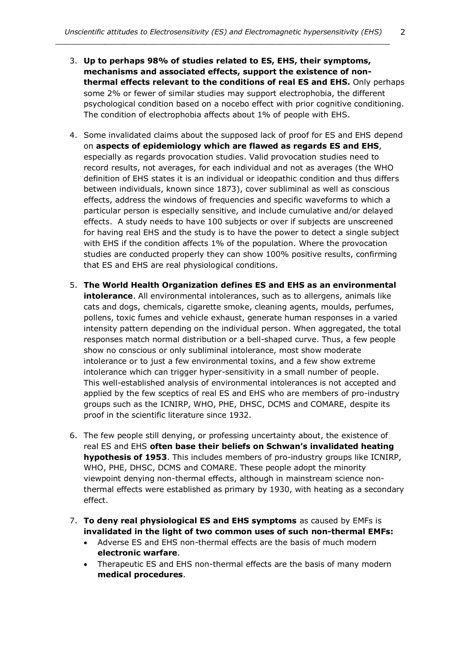- 3. **Up to perhaps 98% of studies related to ES, EHS, their symptoms, mechanisms and associated effects, support the existence of nonthermal effects relevant to the conditions of real ES and EHS.** Only perhaps some 2% or fewer of similar studies may support electrophobia, the different psychological condition based on a nocebo effect with prior cognitive conditioning. The condition of electrophobia affects about 1% of people with EHS.
- 4. Some invalidated claims about the supposed lack of proof for ES and EHS depend on **aspects of epidemiology which are flawed as regards ES and EHS**, especially as regards provocation studies. Valid provocation studies need to record results, not averages, for each individual and not as averages (the WHO definition of EHS states it is an individual or ideopathic condition and thus differs between individuals, known since 1873), cover subliminal as well as conscious effects, address the windows of frequencies and specific waveforms to which a particular person is especially sensitive, and include cumulative and/or delayed effects. A study needs to have 100 subjects or over if subjects are unscreened for having real EHS and the study is to have the power to detect a single subject with EHS if the condition affects 1% of the population. Where the provocation studies are conducted properly they can show 100% positive results, confirming that ES and EHS are real physiological conditions.
- 5. **The World Health Organization defines ES and EHS as an environmental intolerance**. All environmental intolerances, such as to allergens, animals like cats and dogs, chemicals, cigarette smoke, cleaning agents, moulds, perfumes, pollens, toxic fumes and vehicle exhaust, generate human responses in a varied intensity pattern depending on the individual person. When aggregated, the total responses match normal distribution or a bell-shaped curve. Thus, a few people show no conscious or only subliminal intolerance, most show moderate intolerance or to just a few environmental toxins, and a few show extreme intolerance which can trigger hyper-sensitivity in a small number of people. This well-established analysis of environmental intolerances is not accepted and applied by the few sceptics of real ES and EHS who are members of pro-industry groups such as the ICNIRP, WHO, PHE, DHSC, DCMS and COMARE, despite its proof in the scientific literature since 1932.
- 6. The few people still denying, or professing uncertainty about, the existence of real ES and EHS **often base their beliefs on Schwan's invalidated heating hypothesis of 1953**. This includes members of pro-industry groups like ICNIRP, WHO, PHE, DHSC, DCMS and COMARE. These people adopt the minority viewpoint denying non-thermal effects, although in mainstream science nonthermal effects were established as primary by 1930, with heating as a secondary effect.
- 7. **To deny real physiological ES and EHS symptoms** as caused by EMFs is **invalidated in the light of two common uses of such non-thermal EMFs:**
	- Adverse ES and EHS non-thermal effects are the basis of much modern **electronic warfare**.
	- Therapeutic ES and EHS non-thermal effects are the basis of many modern **medical procedures**.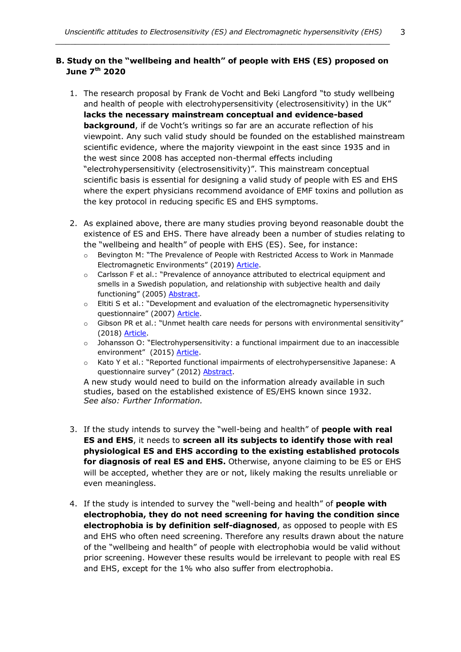#### **B. Study on the "wellbeing and health" of people with EHS (ES) proposed on June 7th 2020**

- 1. The research proposal by Frank de Vocht and Beki Langford "to study wellbeing and health of people with electrohypersensitivity (electrosensitivity) in the UK" **lacks the necessary mainstream conceptual and evidence-based background**, if de Vocht's writings so far are an accurate reflection of his viewpoint. Any such valid study should be founded on the established mainstream scientific evidence, where the majority viewpoint in the east since 1935 and in the west since 2008 has accepted non-thermal effects including "electrohypersensitivity (electrosensitivity)". This mainstream conceptual scientific basis is essential for designing a valid study of people with ES and EHS where the expert physicians recommend avoidance of EMF toxins and pollution as the key protocol in reducing specific ES and EHS symptoms.
- 2. As explained above, there are many studies proving beyond reasonable doubt the existence of ES and EHS. There have already been a number of studies relating to the "wellbeing and health" of people with EHS (ES). See, for instance:
	- o Bevington M: "The Prevalence of People with Restricted Access to Work in Manmade Electromagnetic Environments" (2019) [Article.](https://www.ommegaonline.org/article-details/The-Prevalence-of-People-With-Restricted-Access-to-Work-in-Man-Made-Electromagnetic-Environments/2402)
	- o Carlsson F et al.: "Prevalence of annoyance attributed to electrical equipment and smells in a Swedish population, and relationship with subjective health and daily functioning" (2005) [Abstract.](https://www.ncbi.nlm.nih.gov/pubmed/15925670)
	- $\circ$  Eltiti S et al.: "Development and evaluation of the electromagnetic hypersensitivity questionnaire" (2007) [Article.](http://citeseerx.ist.psu.edu/viewdoc/download?doi=10.1.1.905.2661&rep=rep1&type=pdf)
	- o Gibson PR et al.: "Unmet health care needs for persons with environmental sensitivity" (2018) [Article.](https://www.ncbi.nlm.nih.gov/pmc/articles/PMC4315542/pdf/jmdh-8-059.pdf)
	- o Johansson O: "Electrohypersensitivity: a functional impairment due to an inaccessible environment" (2015) [Article.](http://www.bemri.org/publications/electrosensitivity/464-johansson-2015-functional-impairment/file.html)
	- o Kato Y et al.: "Reported functional impairments of electrohypersensitive Japanese: A questionnaire survey" (2012) [Abstract.](http://www.ncbi.nlm.nih.gov/pubmed/?term=22458999)

A new study would need to build on the information already available in such studies, based on the established existence of ES/EHS known since 1932. *See also: Further Information.*

- 3. If the study intends to survey the "well-being and health" of **people with real ES and EHS**, it needs to **screen all its subjects to identify those with real physiological ES and EHS according to the existing established protocols for diagnosis of real ES and EHS.** Otherwise, anyone claiming to be ES or EHS will be accepted, whether they are or not, likely making the results unreliable or even meaningless.
- 4. If the study is intended to survey the "well-being and health" of **people with electrophobia, they do not need screening for having the condition since electrophobia is by definition self-diagnosed**, as opposed to people with ES and EHS who often need screening. Therefore any results drawn about the nature of the "wellbeing and health" of people with electrophobia would be valid without prior screening. However these results would be irrelevant to people with real ES and EHS, except for the 1% who also suffer from electrophobia.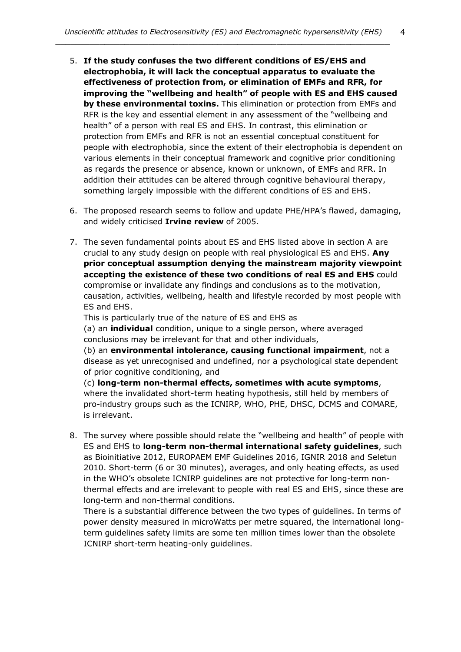4

*\_\_\_\_\_\_\_\_\_\_\_\_\_\_\_\_\_\_\_\_\_\_\_\_\_\_\_\_\_\_\_\_\_\_\_\_\_\_\_\_\_\_\_\_\_\_\_\_\_\_\_\_\_\_\_\_\_\_\_\_\_\_\_\_\_\_\_\_*

- 5. **If the study confuses the two different conditions of ES/EHS and electrophobia, it will lack the conceptual apparatus to evaluate the effectiveness of protection from, or elimination of EMFs and RFR, for improving the "wellbeing and health" of people with ES and EHS caused by these environmental toxins.** This elimination or protection from EMFs and RFR is the key and essential element in any assessment of the "wellbeing and health" of a person with real ES and EHS. In contrast, this elimination or protection from EMFs and RFR is not an essential conceptual constituent for people with electrophobia, since the extent of their electrophobia is dependent on various elements in their conceptual framework and cognitive prior conditioning as regards the presence or absence, known or unknown, of EMFs and RFR. In addition their attitudes can be altered through cognitive behavioural therapy, something largely impossible with the different conditions of ES and EHS.
- 6. The proposed research seems to follow and update PHE/HPA's flawed, damaging, and widely criticised **Irvine review** of 2005.
- 7. The seven fundamental points about ES and EHS listed above in section A are crucial to any study design on people with real physiological ES and EHS. **Any prior conceptual assumption denying the mainstream majority viewpoint accepting the existence of these two conditions of real ES and EHS** could compromise or invalidate any findings and conclusions as to the motivation, causation, activities, wellbeing, health and lifestyle recorded by most people with ES and EHS.

This is particularly true of the nature of ES and EHS as

(a) an **individual** condition, unique to a single person, where averaged conclusions may be irrelevant for that and other individuals,

(b) an **environmental intolerance, causing functional impairment**, not a disease as yet unrecognised and undefined, nor a psychological state dependent of prior cognitive conditioning, and

(c) **long-term non-thermal effects, sometimes with acute symptoms**, where the invalidated short-term heating hypothesis, still held by members of pro-industry groups such as the ICNIRP, WHO, PHE, DHSC, DCMS and COMARE, is irrelevant.

8. The survey where possible should relate the "wellbeing and health" of people with ES and EHS to **long-term non-thermal international safety guidelines**, such as Bioinitiative 2012, EUROPAEM EMF Guidelines 2016, IGNIR 2018 and Seletun 2010. Short-term (6 or 30 minutes), averages, and only heating effects, as used in the WHO's obsolete ICNIRP guidelines are not protective for long-term nonthermal effects and are irrelevant to people with real ES and EHS, since these are long-term and non-thermal conditions.

There is a substantial difference between the two types of guidelines. In terms of power density measured in microWatts per metre squared, the international longterm guidelines safety limits are some ten million times lower than the obsolete ICNIRP short-term heating-only guidelines.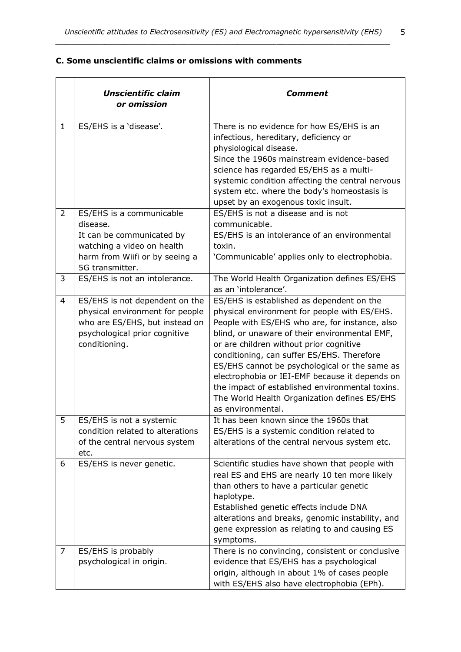# **C. Some unscientific claims or omissions with comments**

|                | <b>Unscientific claim</b><br>or omission                                                                                                              | Comment                                                                                                                                                                                                                                                                                                                                                                                                                                                                                                          |
|----------------|-------------------------------------------------------------------------------------------------------------------------------------------------------|------------------------------------------------------------------------------------------------------------------------------------------------------------------------------------------------------------------------------------------------------------------------------------------------------------------------------------------------------------------------------------------------------------------------------------------------------------------------------------------------------------------|
| $\mathbf{1}$   | ES/EHS is a 'disease'.                                                                                                                                | There is no evidence for how ES/EHS is an<br>infectious, hereditary, deficiency or<br>physiological disease.<br>Since the 1960s mainstream evidence-based<br>science has regarded ES/EHS as a multi-<br>systemic condition affecting the central nervous<br>system etc. where the body's homeostasis is<br>upset by an exogenous toxic insult.                                                                                                                                                                   |
| $\overline{2}$ | ES/EHS is a communicable<br>disease.<br>It can be communicated by<br>watching a video on health<br>harm from Wiifi or by seeing a<br>5G transmitter.  | ES/EHS is not a disease and is not<br>communicable.<br>ES/EHS is an intolerance of an environmental<br>toxin.<br>'Communicable' applies only to electrophobia.                                                                                                                                                                                                                                                                                                                                                   |
| 3              | ES/EHS is not an intolerance.                                                                                                                         | The World Health Organization defines ES/EHS<br>as an 'intolerance'.                                                                                                                                                                                                                                                                                                                                                                                                                                             |
| 4              | ES/EHS is not dependent on the<br>physical environment for people<br>who are ES/EHS, but instead on<br>psychological prior cognitive<br>conditioning. | ES/EHS is established as dependent on the<br>physical environment for people with ES/EHS.<br>People with ES/EHS who are, for instance, also<br>blind, or unaware of their environmental EMF,<br>or are children without prior cognitive<br>conditioning, can suffer ES/EHS. Therefore<br>ES/EHS cannot be psychological or the same as<br>electrophobia or IEI-EMF because it depends on<br>the impact of established environmental toxins.<br>The World Health Organization defines ES/EHS<br>as environmental. |
| 5              | ES/EHS is not a systemic<br>condition related to alterations<br>of the central nervous system<br>etc.                                                 | It has been known since the 1960s that<br>ES/EHS is a systemic condition related to<br>alterations of the central nervous system etc.                                                                                                                                                                                                                                                                                                                                                                            |
| 6              | ES/EHS is never genetic.                                                                                                                              | Scientific studies have shown that people with<br>real ES and EHS are nearly 10 ten more likely<br>than others to have a particular genetic<br>haplotype.<br>Established genetic effects include DNA<br>alterations and breaks, genomic instability, and<br>gene expression as relating to and causing ES<br>symptoms.                                                                                                                                                                                           |
| 7              | ES/EHS is probably<br>psychological in origin.                                                                                                        | There is no convincing, consistent or conclusive<br>evidence that ES/EHS has a psychological<br>origin, although in about 1% of cases people<br>with ES/EHS also have electrophobia (EPh).                                                                                                                                                                                                                                                                                                                       |

5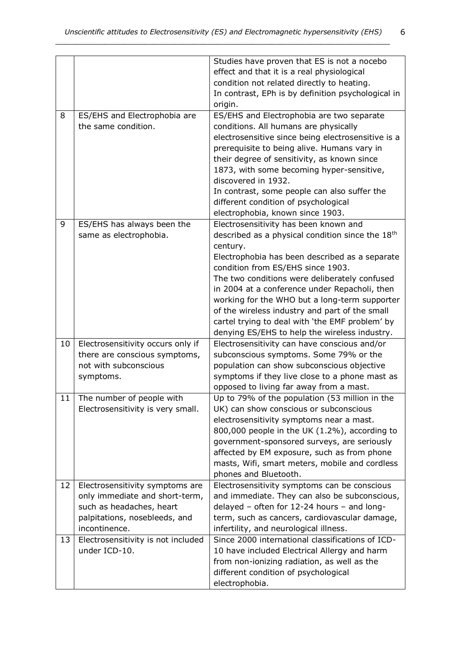|        |                                    | Studies have proven that ES is not a nocebo                  |
|--------|------------------------------------|--------------------------------------------------------------|
|        |                                    | effect and that it is a real physiological                   |
|        |                                    | condition not related directly to heating.                   |
|        |                                    | In contrast, EPh is by definition psychological in           |
|        |                                    | origin.                                                      |
| 8      | ES/EHS and Electrophobia are       | ES/EHS and Electrophobia are two separate                    |
|        | the same condition.                | conditions. All humans are physically                        |
|        |                                    | electrosensitive since being electrosensitive is a           |
|        |                                    | prerequisite to being alive. Humans vary in                  |
|        |                                    | their degree of sensitivity, as known since                  |
|        |                                    | 1873, with some becoming hyper-sensitive,                    |
|        |                                    | discovered in 1932.                                          |
|        |                                    | In contrast, some people can also suffer the                 |
|        |                                    | different condition of psychological                         |
|        |                                    | electrophobia, known since 1903.                             |
| 9      | ES/EHS has always been the         | Electrosensitivity has been known and                        |
|        | same as electrophobia.             | described as a physical condition since the 18 <sup>th</sup> |
|        |                                    | century.                                                     |
|        |                                    | Electrophobia has been described as a separate               |
|        |                                    | condition from ES/EHS since 1903.                            |
|        |                                    | The two conditions were deliberately confused                |
|        |                                    | in 2004 at a conference under Repacholi, then                |
|        |                                    | working for the WHO but a long-term supporter                |
|        |                                    | of the wireless industry and part of the small               |
|        |                                    | cartel trying to deal with 'the EMF problem' by              |
|        |                                    | denying ES/EHS to help the wireless industry.                |
| 10     | Electrosensitivity occurs only if  | Electrosensitivity can have conscious and/or                 |
|        | there are conscious symptoms,      | subconscious symptoms. Some 79% or the                       |
|        | not with subconscious              | population can show subconscious objective                   |
|        | symptoms.                          | symptoms if they live close to a phone mast as               |
|        |                                    | opposed to living far away from a mast.                      |
| $11\,$ | The number of people with          | Up to 79% of the population (53 million in the               |
|        | Electrosensitivity is very small.  | UK) can show conscious or subconscious                       |
|        |                                    | electrosensitivity symptoms near a mast.                     |
|        |                                    | 800,000 people in the UK (1.2%), according to                |
|        |                                    | government-sponsored surveys, are seriously                  |
|        |                                    | affected by EM exposure, such as from phone                  |
|        |                                    | masts, Wifi, smart meters, mobile and cordless               |
|        |                                    | phones and Bluetooth.                                        |
| 12     | Electrosensitivity symptoms are    | Electrosensitivity symptoms can be conscious                 |
|        | only immediate and short-term,     | and immediate. They can also be subconscious,                |
|        | such as headaches, heart           | delayed - often for 12-24 hours - and long-                  |
|        | palpitations, nosebleeds, and      | term, such as cancers, cardiovascular damage,                |
|        | incontinence.                      | infertility, and neurological illness.                       |
| 13     | Electrosensitivity is not included | Since 2000 international classifications of ICD-             |
|        | under ICD-10.                      | 10 have included Electrical Allergy and harm                 |
|        |                                    | from non-ionizing radiation, as well as the                  |
|        |                                    | different condition of psychological                         |
|        |                                    | electrophobia.                                               |

6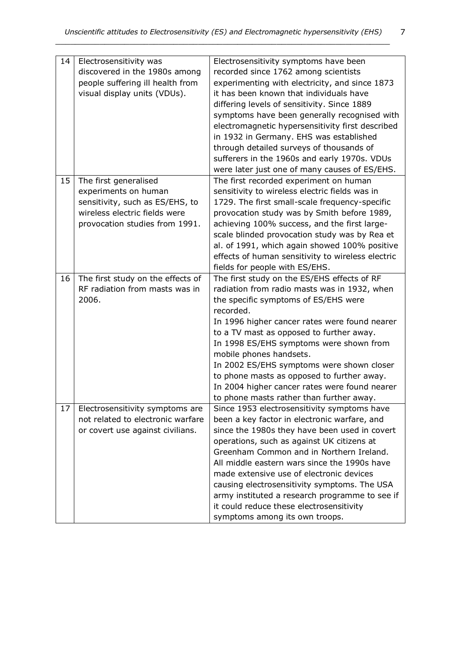| 14 | Electrosensitivity was            | Electrosensitivity symptoms have been             |
|----|-----------------------------------|---------------------------------------------------|
|    | discovered in the 1980s among     | recorded since 1762 among scientists              |
|    | people suffering ill health from  | experimenting with electricity, and since 1873    |
|    | visual display units (VDUs).      | it has been known that individuals have           |
|    |                                   | differing levels of sensitivity. Since 1889       |
|    |                                   | symptoms have been generally recognised with      |
|    |                                   | electromagnetic hypersensitivity first described  |
|    |                                   | in 1932 in Germany. EHS was established           |
|    |                                   | through detailed surveys of thousands of          |
|    |                                   | sufferers in the 1960s and early 1970s. VDUs      |
|    |                                   | were later just one of many causes of ES/EHS.     |
| 15 | The first generalised             | The first recorded experiment on human            |
|    | experiments on human              | sensitivity to wireless electric fields was in    |
|    | sensitivity, such as ES/EHS, to   | 1729. The first small-scale frequency-specific    |
|    | wireless electric fields were     | provocation study was by Smith before 1989,       |
|    | provocation studies from 1991.    | achieving 100% success, and the first large-      |
|    |                                   | scale blinded provocation study was by Rea et     |
|    |                                   |                                                   |
|    |                                   | al. of 1991, which again showed 100% positive     |
|    |                                   | effects of human sensitivity to wireless electric |
|    |                                   | fields for people with ES/EHS.                    |
| 16 | The first study on the effects of | The first study on the ES/EHS effects of RF       |
|    | RF radiation from masts was in    | radiation from radio masts was in 1932, when      |
|    | 2006.                             | the specific symptoms of ES/EHS were              |
|    |                                   | recorded.                                         |
|    |                                   | In 1996 higher cancer rates were found nearer     |
|    |                                   | to a TV mast as opposed to further away.          |
|    |                                   | In 1998 ES/EHS symptoms were shown from           |
|    |                                   | mobile phones handsets.                           |
|    |                                   | In 2002 ES/EHS symptoms were shown closer         |
|    |                                   | to phone masts as opposed to further away.        |
|    |                                   | In 2004 higher cancer rates were found nearer     |
|    |                                   | to phone masts rather than further away.          |
| 17 | Electrosensitivity symptoms are   | Since 1953 electrosensitivity symptoms have       |
|    | not related to electronic warfare | been a key factor in electronic warfare, and      |
|    | or covert use against civilians.  | since the 1980s they have been used in covert     |
|    |                                   | operations, such as against UK citizens at        |
|    |                                   | Greenham Common and in Northern Ireland.          |
|    |                                   | All middle eastern wars since the 1990s have      |
|    |                                   | made extensive use of electronic devices          |
|    |                                   | causing electrosensitivity symptoms. The USA      |
|    |                                   | army instituted a research programme to see if    |
|    |                                   | it could reduce these electrosensitivity          |
|    |                                   | symptoms among its own troops.                    |

7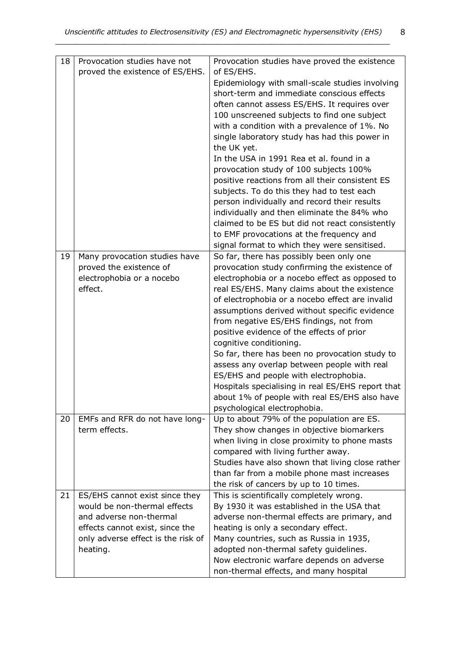8

| 18 | Provocation studies have not<br>proved the existence of ES/EHS. | Provocation studies have proved the existence<br>of ES/EHS. |
|----|-----------------------------------------------------------------|-------------------------------------------------------------|
|    |                                                                 |                                                             |
|    |                                                                 | Epidemiology with small-scale studies involving             |
|    |                                                                 | short-term and immediate conscious effects                  |
|    |                                                                 | often cannot assess ES/EHS. It requires over                |
|    |                                                                 | 100 unscreened subjects to find one subject                 |
|    |                                                                 | with a condition with a prevalence of 1%. No                |
|    |                                                                 | single laboratory study has had this power in               |
|    |                                                                 | the UK yet.                                                 |
|    |                                                                 | In the USA in 1991 Rea et al. found in a                    |
|    |                                                                 | provocation study of 100 subjects 100%                      |
|    |                                                                 | positive reactions from all their consistent ES             |
|    |                                                                 | subjects. To do this they had to test each                  |
|    |                                                                 | person individually and record their results                |
|    |                                                                 | individually and then eliminate the 84% who                 |
|    |                                                                 | claimed to be ES but did not react consistently             |
|    |                                                                 | to EMF provocations at the frequency and                    |
|    |                                                                 | signal format to which they were sensitised.                |
| 19 | Many provocation studies have                                   | So far, there has possibly been only one                    |
|    | proved the existence of                                         | provocation study confirming the existence of               |
|    | electrophobia or a nocebo                                       | electrophobia or a nocebo effect as opposed to              |
|    | effect.                                                         | real ES/EHS. Many claims about the existence                |
|    |                                                                 | of electrophobia or a nocebo effect are invalid             |
|    |                                                                 | assumptions derived without specific evidence               |
|    |                                                                 | from negative ES/EHS findings, not from                     |
|    |                                                                 | positive evidence of the effects of prior                   |
|    |                                                                 | cognitive conditioning.                                     |
|    |                                                                 | So far, there has been no provocation study to              |
|    |                                                                 | assess any overlap between people with real                 |
|    |                                                                 | ES/EHS and people with electrophobia.                       |
|    |                                                                 | Hospitals specialising in real ES/EHS report that           |
|    |                                                                 | about 1% of people with real ES/EHS also have               |
|    |                                                                 | psychological electrophobia.                                |
| 20 | EMFs and RFR do not have long-                                  | Up to about 79% of the population are ES.                   |
|    | term effects.                                                   | They show changes in objective biomarkers                   |
|    |                                                                 | when living in close proximity to phone masts               |
|    |                                                                 | compared with living further away.                          |
|    |                                                                 | Studies have also shown that living close rather            |
|    |                                                                 | than far from a mobile phone mast increases                 |
|    |                                                                 | the risk of cancers by up to 10 times.                      |
| 21 | ES/EHS cannot exist since they                                  | This is scientifically completely wrong.                    |
|    | would be non-thermal effects                                    | By 1930 it was established in the USA that                  |
|    | and adverse non-thermal                                         | adverse non-thermal effects are primary, and                |
|    | effects cannot exist, since the                                 | heating is only a secondary effect.                         |
|    | only adverse effect is the risk of                              | Many countries, such as Russia in 1935,                     |
|    | heating.                                                        | adopted non-thermal safety guidelines.                      |
|    |                                                                 | Now electronic warfare depends on adverse                   |
|    |                                                                 | non-thermal effects, and many hospital                      |
|    |                                                                 |                                                             |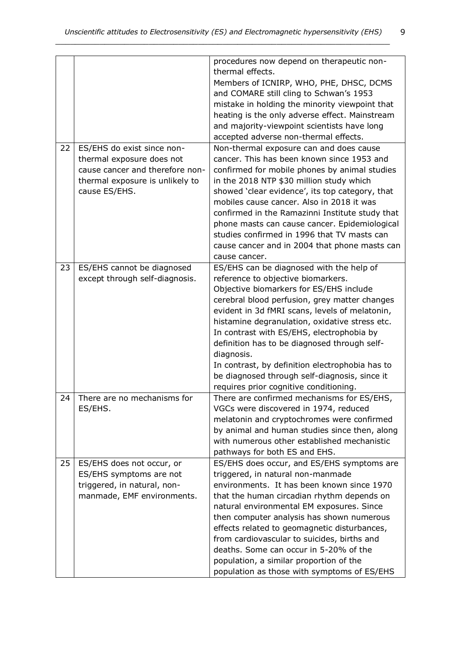9

|    |                                 | procedures now depend on therapeutic non-       |
|----|---------------------------------|-------------------------------------------------|
|    |                                 | thermal effects.                                |
|    |                                 | Members of ICNIRP, WHO, PHE, DHSC, DCMS         |
|    |                                 | and COMARE still cling to Schwan's 1953         |
|    |                                 | mistake in holding the minority viewpoint that  |
|    |                                 | heating is the only adverse effect. Mainstream  |
|    |                                 | and majority-viewpoint scientists have long     |
|    |                                 | accepted adverse non-thermal effects.           |
| 22 | ES/EHS do exist since non-      | Non-thermal exposure can and does cause         |
|    | thermal exposure does not       | cancer. This has been known since 1953 and      |
|    | cause cancer and therefore non- | confirmed for mobile phones by animal studies   |
|    | thermal exposure is unlikely to | in the 2018 NTP \$30 million study which        |
|    | cause ES/EHS.                   | showed 'clear evidence', its top category, that |
|    |                                 | mobiles cause cancer. Also in 2018 it was       |
|    |                                 | confirmed in the Ramazinni Institute study that |
|    |                                 | phone masts can cause cancer. Epidemiological   |
|    |                                 | studies confirmed in 1996 that TV masts can     |
|    |                                 | cause cancer and in 2004 that phone masts can   |
|    |                                 | cause cancer.                                   |
| 23 | ES/EHS cannot be diagnosed      | ES/EHS can be diagnosed with the help of        |
|    | except through self-diagnosis.  | reference to objective biomarkers.              |
|    |                                 |                                                 |
|    |                                 | Objective biomarkers for ES/EHS include         |
|    |                                 | cerebral blood perfusion, grey matter changes   |
|    |                                 | evident in 3d fMRI scans, levels of melatonin,  |
|    |                                 | histamine degranulation, oxidative stress etc.  |
|    |                                 | In contrast with ES/EHS, electrophobia by       |
|    |                                 | definition has to be diagnosed through self-    |
|    |                                 | diagnosis.                                      |
|    |                                 | In contrast, by definition electrophobia has to |
|    |                                 | be diagnosed through self-diagnosis, since it   |
|    |                                 | requires prior cognitive conditioning.          |
| 24 | There are no mechanisms for     | There are confirmed mechanisms for ES/EHS,      |
|    | ES/EHS.                         | VGCs were discovered in 1974, reduced           |
|    |                                 | melatonin and cryptochromes were confirmed      |
|    |                                 | by animal and human studies since then, along   |
|    |                                 | with numerous other established mechanistic     |
|    |                                 | pathways for both ES and EHS.                   |
| 25 | ES/EHS does not occur, or       | ES/EHS does occur, and ES/EHS symptoms are      |
|    | ES/EHS symptoms are not         | triggered, in natural non-manmade               |
|    | triggered, in natural, non-     | environments. It has been known since 1970      |
|    | manmade, EMF environments.      | that the human circadian rhythm depends on      |
|    |                                 | natural environmental EM exposures. Since       |
|    |                                 | then computer analysis has shown numerous       |
|    |                                 | effects related to geomagnetic disturbances,    |
|    |                                 | from cardiovascular to suicides, births and     |
|    |                                 | deaths. Some can occur in 5-20% of the          |
|    |                                 | population, a similar proportion of the         |
|    |                                 | population as those with symptoms of ES/EHS     |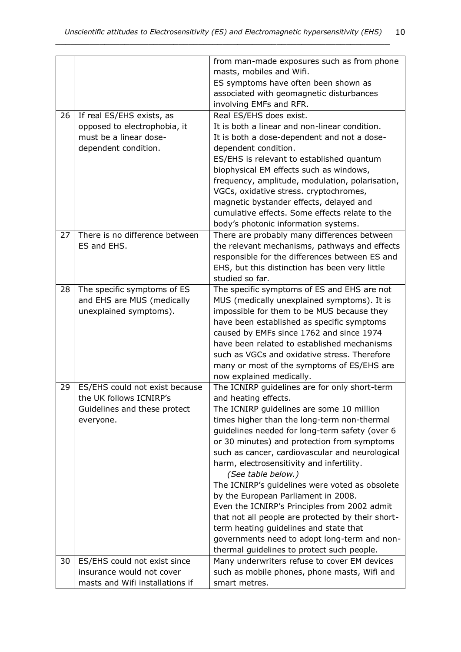|    |                                 | from man-made exposures such as from phone        |
|----|---------------------------------|---------------------------------------------------|
|    |                                 | masts, mobiles and Wifi.                          |
|    |                                 | ES symptoms have often been shown as              |
|    |                                 | associated with geomagnetic disturbances          |
|    |                                 | involving EMFs and RFR.                           |
| 26 | If real ES/EHS exists, as       | Real ES/EHS does exist.                           |
|    | opposed to electrophobia, it    | It is both a linear and non-linear condition.     |
|    | must be a linear dose-          | It is both a dose-dependent and not a dose-       |
|    | dependent condition.            | dependent condition.                              |
|    |                                 | ES/EHS is relevant to established quantum         |
|    |                                 | biophysical EM effects such as windows,           |
|    |                                 | frequency, amplitude, modulation, polarisation,   |
|    |                                 | VGCs, oxidative stress. cryptochromes,            |
|    |                                 | magnetic bystander effects, delayed and           |
|    |                                 | cumulative effects. Some effects relate to the    |
|    |                                 | body's photonic information systems.              |
| 27 | There is no difference between  | There are probably many differences between       |
|    | ES and EHS.                     | the relevant mechanisms, pathways and effects     |
|    |                                 | responsible for the differences between ES and    |
|    |                                 | EHS, but this distinction has been very little    |
|    |                                 | studied so far.                                   |
| 28 | The specific symptoms of ES     | The specific symptoms of ES and EHS are not       |
|    | and EHS are MUS (medically      | MUS (medically unexplained symptoms). It is       |
|    | unexplained symptoms).          | impossible for them to be MUS because they        |
|    |                                 | have been established as specific symptoms        |
|    |                                 | caused by EMFs since 1762 and since 1974          |
|    |                                 | have been related to established mechanisms       |
|    |                                 | such as VGCs and oxidative stress. Therefore      |
|    |                                 | many or most of the symptoms of ES/EHS are        |
|    |                                 | now explained medically.                          |
| 29 | ES/EHS could not exist because  | The ICNIRP guidelines are for only short-term     |
|    | the UK follows ICNIRP's         | and heating effects.                              |
|    | Guidelines and these protect    | The ICNIRP guidelines are some 10 million         |
|    | everyone.                       | times higher than the long-term non-thermal       |
|    |                                 | guidelines needed for long-term safety (over 6    |
|    |                                 | or 30 minutes) and protection from symptoms       |
|    |                                 | such as cancer, cardiovascular and neurological   |
|    |                                 | harm, electrosensitivity and infertility.         |
|    |                                 | (See table below.)                                |
|    |                                 | The ICNIRP's guidelines were voted as obsolete    |
|    |                                 | by the European Parliament in 2008.               |
|    |                                 | Even the ICNIRP's Principles from 2002 admit      |
|    |                                 | that not all people are protected by their short- |
|    |                                 | term heating guidelines and state that            |
|    |                                 | governments need to adopt long-term and non-      |
|    |                                 | thermal guidelines to protect such people.        |
| 30 | ES/EHS could not exist since    | Many underwriters refuse to cover EM devices      |
|    | insurance would not cover       | such as mobile phones, phone masts, Wifi and      |
|    | masts and Wifi installations if | smart metres.                                     |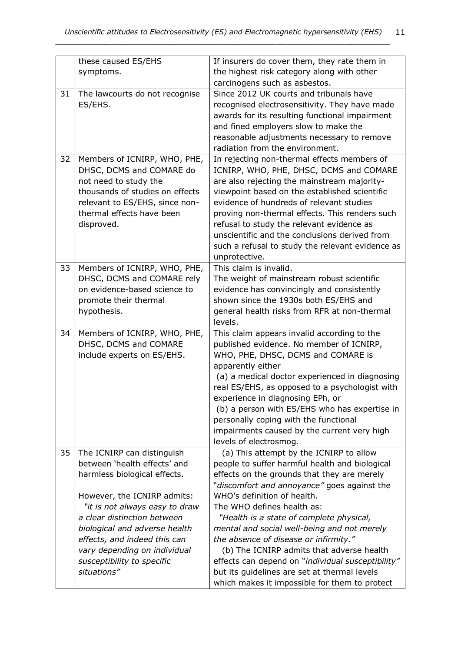|    | these caused ES/EHS             | If insurers do cover them, they rate them in      |
|----|---------------------------------|---------------------------------------------------|
|    | symptoms.                       | the highest risk category along with other        |
|    |                                 | carcinogens such as asbestos.                     |
| 31 | The lawcourts do not recognise  | Since 2012 UK courts and tribunals have           |
|    | ES/EHS.                         | recognised electrosensitivity. They have made     |
|    |                                 | awards for its resulting functional impairment    |
|    |                                 | and fined employers slow to make the              |
|    |                                 | reasonable adjustments necessary to remove        |
|    |                                 | radiation from the environment.                   |
| 32 | Members of ICNIRP, WHO, PHE,    | In rejecting non-thermal effects members of       |
|    | DHSC, DCMS and COMARE do        | ICNIRP, WHO, PHE, DHSC, DCMS and COMARE           |
|    | not need to study the           | are also rejecting the mainstream majority-       |
|    | thousands of studies on effects | viewpoint based on the established scientific     |
|    | relevant to ES/EHS, since non-  | evidence of hundreds of relevant studies          |
|    | thermal effects have been       | proving non-thermal effects. This renders such    |
|    | disproved.                      | refusal to study the relevant evidence as         |
|    |                                 | unscientific and the conclusions derived from     |
|    |                                 | such a refusal to study the relevant evidence as  |
|    |                                 | unprotective.                                     |
| 33 | Members of ICNIRP, WHO, PHE,    | This claim is invalid.                            |
|    | DHSC, DCMS and COMARE rely      | The weight of mainstream robust scientific        |
|    | on evidence-based science to    | evidence has convincingly and consistently        |
|    | promote their thermal           | shown since the 1930s both ES/EHS and             |
|    | hypothesis.                     | general health risks from RFR at non-thermal      |
|    |                                 | levels.                                           |
| 34 | Members of ICNIRP, WHO, PHE,    | This claim appears invalid according to the       |
|    | DHSC, DCMS and COMARE           | published evidence. No member of ICNIRP,          |
|    | include experts on ES/EHS.      | WHO, PHE, DHSC, DCMS and COMARE is                |
|    |                                 | apparently either                                 |
|    |                                 | (a) a medical doctor experienced in diagnosing    |
|    |                                 | real ES/EHS, as opposed to a psychologist with    |
|    |                                 | experience in diagnosing EPh, or                  |
|    |                                 | (b) a person with ES/EHS who has expertise in     |
|    |                                 | personally coping with the functional             |
|    |                                 | impairments caused by the current very high       |
|    |                                 | levels of electrosmog.                            |
| 35 | The ICNIRP can distinguish      | (a) This attempt by the ICNIRP to allow           |
|    | between 'health effects' and    | people to suffer harmful health and biological    |
|    | harmless biological effects.    | effects on the grounds that they are merely       |
|    |                                 | "discomfort and annoyance" goes against the       |
|    | However, the ICNIRP admits:     | WHO's definition of health.                       |
|    | "it is not always easy to draw  | The WHO defines health as:                        |
|    | a clear distinction between     | "Health is a state of complete physical,          |
|    | biological and adverse health   | mental and social well-being and not merely       |
|    | effects, and indeed this can    | the absence of disease or infirmity."             |
|    | vary depending on individual    | (b) The ICNIRP admits that adverse health         |
|    | susceptibility to specific      | effects can depend on "individual susceptibility" |
|    | situations"                     | but its guidelines are set at thermal levels      |
|    |                                 | which makes it impossible for them to protect     |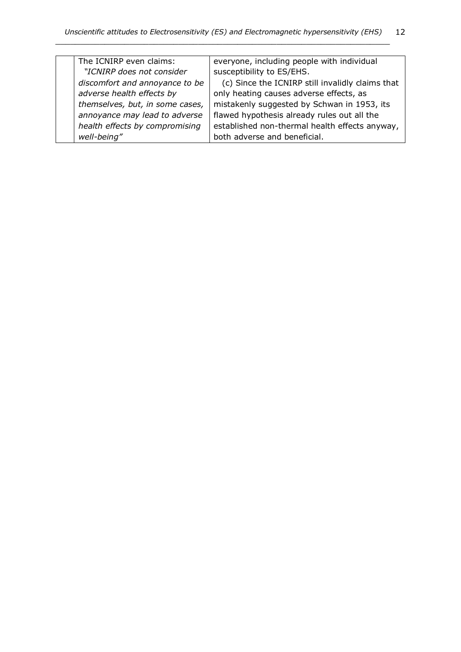| The ICNIRP even claims:         | everyone, including people with individual       |
|---------------------------------|--------------------------------------------------|
| "ICNIRP does not consider       | susceptibility to ES/EHS.                        |
| discomfort and annoyance to be  | (c) Since the ICNIRP still invalidly claims that |
| adverse health effects by       | only heating causes adverse effects, as          |
| themselves, but, in some cases, | mistakenly suggested by Schwan in 1953, its      |
| annoyance may lead to adverse   | flawed hypothesis already rules out all the      |
| health effects by compromising  | established non-thermal health effects anyway,   |
| well-being"                     | both adverse and beneficial.                     |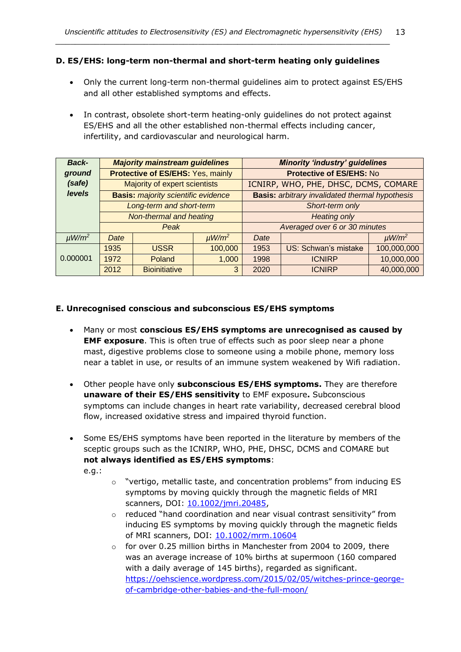#### **D. ES/EHS: long-term non-thermal and short-term heating only guidelines**

*\_\_\_\_\_\_\_\_\_\_\_\_\_\_\_\_\_\_\_\_\_\_\_\_\_\_\_\_\_\_\_\_\_\_\_\_\_\_\_\_\_\_\_\_\_\_\_\_\_\_\_\_\_\_\_\_\_\_\_\_\_\_\_\_\_\_\_\_*

- Only the current long-term non-thermal guidelines aim to protect against ES/EHS and all other established symptoms and effects.
- In contrast, obsolete short-term heating-only guidelines do not protect against ES/EHS and all the other established non-thermal effects including cancer, infertility, and cardiovascular and neurological harm.

| <b>Back-</b>           | <b>Majority mainstream guidelines</b>      |                      |                               |                                                        | <b>Minority 'industry' guidelines</b> |                        |
|------------------------|--------------------------------------------|----------------------|-------------------------------|--------------------------------------------------------|---------------------------------------|------------------------|
| ground                 | Protective of ES/EHS: Yes, mainly          |                      |                               |                                                        | <b>Protective of ES/EHS: No</b>       |                        |
| (safe)                 | Majority of expert scientists              |                      |                               | ICNIRP, WHO, PHE, DHSC, DCMS, COMARE                   |                                       |                        |
| levels                 | <b>Basis:</b> majority scientific evidence |                      |                               | <b>Basis:</b> arbitrary invalidated thermal hypothesis |                                       |                        |
|                        | Long-term and short-term                   |                      | Short-term only               |                                                        |                                       |                        |
|                        | Non-thermal and heating                    |                      | <b>Heating only</b>           |                                                        |                                       |                        |
|                        | Peak                                       |                      | Averaged over 6 or 30 minutes |                                                        |                                       |                        |
| $\mu$ W/m <sup>2</sup> | Date                                       |                      | $\mu$ W/m <sup>2</sup>        | Date                                                   |                                       | $\mu$ W/m <sup>2</sup> |
|                        | 1935                                       | <b>USSR</b>          | 100,000                       | 1953                                                   | US: Schwan's mistake                  | 100,000,000            |
| 0.000001               | 1972                                       | Poland               | 1,000                         | 1998                                                   | <b>ICNIRP</b>                         | 10,000,000             |
|                        | 2012                                       | <b>Bioinitiative</b> | 3                             | 2020                                                   | <b>ICNIRP</b>                         | 40,000,000             |

#### **E. Unrecognised conscious and subconscious ES/EHS symptoms**

- Many or most **conscious ES/EHS symptoms are unrecognised as caused by EMF exposure**. This is often true of effects such as poor sleep near a phone mast, digestive problems close to someone using a mobile phone, memory loss near a tablet in use, or results of an immune system weakened by Wifi radiation.
- Other people have only **subconscious ES/EHS symptoms.** They are therefore **unaware of their ES/EHS sensitivity** to EMF exposure**.** Subconscious symptoms can include changes in heart rate variability, decreased cerebral blood flow, increased oxidative stress and impaired thyroid function.
- Some ES/EHS symptoms have been reported in the literature by members of the sceptic groups such as the ICNIRP, WHO, PHE, DHSC, DCMS and COMARE but **not always identified as ES/EHS symptoms**:

e.g.:

- $\circ$  "vertigo, metallic taste, and concentration problems" from inducing ES symptoms by moving quickly through the magnetic fields of MRI scanners, DOI: [10.1002/jmri.20485,](https://doi.org/10.1002/jmri.20485)
- o reduced "hand coordination and near visual contrast sensitivity" from inducing ES symptoms by moving quickly through the magnetic fields of MRI scanners, DOI: [10.1002/mrm.10604](https://doi.org/10.1002/mrm.10604)
- o for over 0.25 million births in Manchester from 2004 to 2009, there was an average increase of 10% births at supermoon (160 compared with a daily average of 145 births), regarded as significant. [https://oehscience.wordpress.com/2015/02/05/witches-prince-george](https://oehscience.wordpress.com/2015/02/05/witches-prince-george-of-cambridge-other-babies-and-the-full-moon/)[of-cambridge-other-babies-and-the-full-moon/](https://oehscience.wordpress.com/2015/02/05/witches-prince-george-of-cambridge-other-babies-and-the-full-moon/)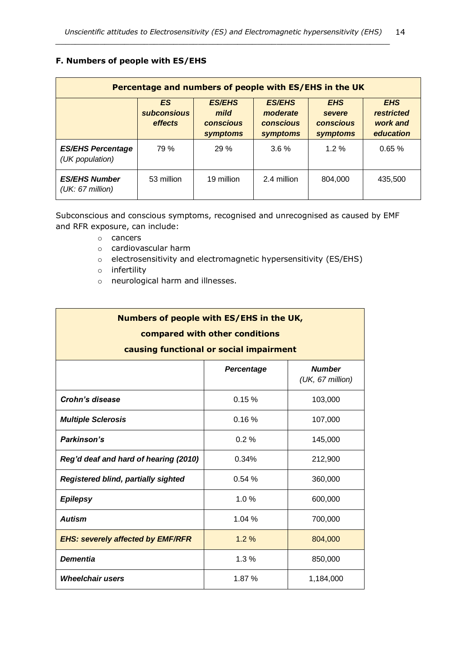# **F. Numbers of people with ES/EHS**

| Percentage and numbers of people with ES/EHS in the UK |                                     |                                                       |                                                           |                                                             |                                                          |  |
|--------------------------------------------------------|-------------------------------------|-------------------------------------------------------|-----------------------------------------------------------|-------------------------------------------------------------|----------------------------------------------------------|--|
|                                                        | ES<br><b>subconsious</b><br>effects | <b>ES/EHS</b><br>mild<br><b>conscious</b><br>symptoms | <b>ES/EHS</b><br>moderate<br><b>conscious</b><br>symptoms | <b>EHS</b><br>severe<br><b>conscious</b><br><b>symptoms</b> | <b>EHS</b><br><b>restricted</b><br>work and<br>education |  |
| <b>ES/EHS Percentage</b><br>(UK population)            | 79 %                                | 29 %                                                  | $3.6\%$                                                   | $1.2\%$                                                     | 0.65%                                                    |  |
| <b>ES/EHS Number</b><br>(UK: 67 million)               | 53 million                          | 19 million                                            | 2.4 million                                               | 804.000                                                     | 435,500                                                  |  |

Subconscious and conscious symptoms, recognised and unrecognised as caused by EMF and RFR exposure, can include:

- o cancers
- o cardiovascular harm
- o electrosensitivity and electromagnetic hypersensitivity (ES/EHS)
- o infertility
- o neurological harm and illnesses.

| Numbers of people with ES/EHS in the UK,                       |                                         |           |  |  |  |  |  |
|----------------------------------------------------------------|-----------------------------------------|-----------|--|--|--|--|--|
| compared with other conditions                                 |                                         |           |  |  |  |  |  |
|                                                                | causing functional or social impairment |           |  |  |  |  |  |
| <b>Number</b><br>Percentage<br>(UK, 67 million)                |                                         |           |  |  |  |  |  |
| <b>Crohn's disease</b>                                         | 0.15%                                   | 103,000   |  |  |  |  |  |
| <b>Multiple Sclerosis</b>                                      | 0.16%                                   | 107,000   |  |  |  |  |  |
| Parkinson's                                                    | 0.2%                                    | 145,000   |  |  |  |  |  |
| Reg'd deaf and hard of hearing (2010)                          | 212,900                                 |           |  |  |  |  |  |
| Registered blind, partially sighted<br>0.54%<br>360,000        |                                         |           |  |  |  |  |  |
| <b>Epilepsy</b>                                                | 600,000                                 |           |  |  |  |  |  |
| <b>Autism</b>                                                  | 1.04 %                                  | 700,000   |  |  |  |  |  |
| $1.2\%$<br><b>EHS: severely affected by EMF/RFR</b><br>804,000 |                                         |           |  |  |  |  |  |
| <b>Dementia</b><br>1.3%<br>850,000                             |                                         |           |  |  |  |  |  |
| <b>Wheelchair users</b>                                        | 1.87%                                   | 1,184,000 |  |  |  |  |  |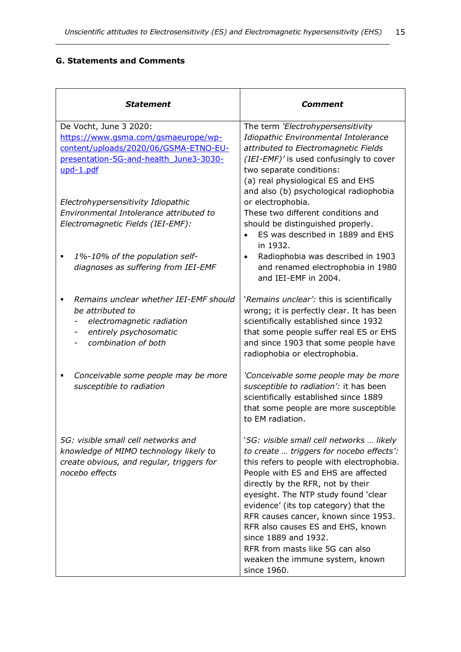### **G. Statements and Comments**

| Statement                                                                                                                                        | Comment                                                                                                                                                                                                                                                                                                                                                                                                                                                                                  |
|--------------------------------------------------------------------------------------------------------------------------------------------------|------------------------------------------------------------------------------------------------------------------------------------------------------------------------------------------------------------------------------------------------------------------------------------------------------------------------------------------------------------------------------------------------------------------------------------------------------------------------------------------|
| De Vocht, June 3 2020:<br>https://www.gsma.com/gsmaeurope/wp-<br>content/uploads/2020/06/GSMA-ETNO-EU-<br>presentation-5G-and-health June3-3030- | The term 'Electrohypersensitivity<br>Idiopathic Environmental Intolerance<br>attributed to Electromagnetic Fields<br>(IEI-EMF)' is used confusingly to cover                                                                                                                                                                                                                                                                                                                             |
| upd-1.pdf                                                                                                                                        | two separate conditions:<br>(a) real physiological ES and EHS<br>and also (b) psychological radiophobia                                                                                                                                                                                                                                                                                                                                                                                  |
| Electrohypersensitivity Idiopathic<br>Environmental Intolerance attributed to<br>Electromagnetic Fields (IEI-EMF):                               | or electrophobia.<br>These two different conditions and<br>should be distinguished properly.<br>ES was described in 1889 and EHS<br>in 1932.                                                                                                                                                                                                                                                                                                                                             |
| 1%-10% of the population self-<br>٠<br>diagnoses as suffering from IEI-EMF                                                                       | Radiophobia was described in 1903<br>and renamed electrophobia in 1980<br>and IEI-EMF in 2004.                                                                                                                                                                                                                                                                                                                                                                                           |
| Remains unclear whether IEI-EMF should<br>be attributed to<br>electromagnetic radiation<br>entirely psychosomatic<br>combination of both         | 'Remains unclear': this is scientifically<br>wrong; it is perfectly clear. It has been<br>scientifically established since 1932<br>that some people suffer real ES or EHS<br>and since 1903 that some people have<br>radiophobia or electrophobia.                                                                                                                                                                                                                                       |
| Conceivable some people may be more<br>susceptible to radiation                                                                                  | 'Conceivable some people may be more<br>susceptible to radiation': it has been<br>scientifically established since 1889<br>that some people are more susceptible<br>to EM radiation.                                                                                                                                                                                                                                                                                                     |
| 5G: visible small cell networks and<br>knowledge of MIMO technology likely to<br>create obvious, and regular, triggers for<br>nocebo effects     | '5G: visible small cell networks  likely<br>to create  triggers for nocebo effects':<br>this refers to people with electrophobia.<br>People with ES and EHS are affected<br>directly by the RFR, not by their<br>eyesight. The NTP study found 'clear<br>evidence' (its top category) that the<br>RFR causes cancer, known since 1953.<br>RFR also causes ES and EHS, known<br>since 1889 and 1932.<br>RFR from masts like 5G can also<br>weaken the immune system, known<br>since 1960. |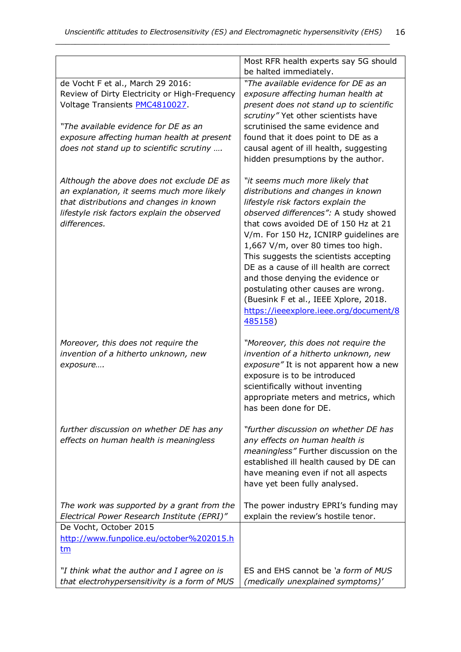|                                               | Most RFR health experts say 5G should<br>be halted immediately. |
|-----------------------------------------------|-----------------------------------------------------------------|
| de Vocht F et al., March 29 2016:             | "The available evidence for DE as an                            |
| Review of Dirty Electricity or High-Frequency | exposure affecting human health at                              |
| Voltage Transients PMC4810027.                | present does not stand up to scientific                         |
|                                               | scrutiny" Yet other scientists have                             |
| "The available evidence for DE as an          | scrutinised the same evidence and                               |
|                                               |                                                                 |
| exposure affecting human health at present    | found that it does point to DE as a                             |
| does not stand up to scientific scrutiny      | causal agent of ill health, suggesting                          |
|                                               | hidden presumptions by the author.                              |
| Although the above does not exclude DE as     | "it seems much more likely that                                 |
| an explanation, it seems much more likely     | distributions and changes in known                              |
| that distributions and changes in known       | lifestyle risk factors explain the                              |
| lifestyle risk factors explain the observed   | observed differences": A study showed                           |
| differences.                                  | that cows avoided DE of 150 Hz at 21                            |
|                                               | V/m. For 150 Hz, ICNIRP guidelines are                          |
|                                               | 1,667 V/m, over 80 times too high.                              |
|                                               | This suggests the scientists accepting                          |
|                                               | DE as a cause of ill health are correct                         |
|                                               | and those denying the evidence or                               |
|                                               | postulating other causes are wrong.                             |
|                                               |                                                                 |
|                                               | (Buesink F et al., IEEE Xplore, 2018.                           |
|                                               | https://ieeexplore.ieee.org/document/8                          |
|                                               | 485158)                                                         |
| Moreover, this does not require the           | "Moreover, this does not require the                            |
| invention of a hitherto unknown, new          | invention of a hitherto unknown, new                            |
| exposure                                      | exposure" It is not apparent how a new                          |
|                                               | exposure is to be introduced                                    |
|                                               | scientifically without inventing                                |
|                                               | appropriate meters and metrics, which                           |
|                                               | has been done for DE.                                           |
|                                               |                                                                 |
| further discussion on whether DE has any      | "further discussion on whether DE has                           |
| effects on human health is meaningless        | any effects on human health is                                  |
|                                               | meaningless" Further discussion on the                          |
|                                               | established ill health caused by DE can                         |
|                                               | have meaning even if not all aspects                            |
|                                               | have yet been fully analysed.                                   |
|                                               |                                                                 |
| The work was supported by a grant from the    | The power industry EPRI's funding may                           |
| Electrical Power Research Institute (EPRI)"   | explain the review's hostile tenor.                             |
| De Vocht, October 2015                        |                                                                 |
| http://www.funpolice.eu/october%202015.h      |                                                                 |
| <u>tm</u>                                     |                                                                 |
| "I think what the author and I agree on is    | ES and EHS cannot be 'a form of MUS                             |
| that electrohypersensitivity is a form of MUS | (medically unexplained symptoms)'                               |
|                                               |                                                                 |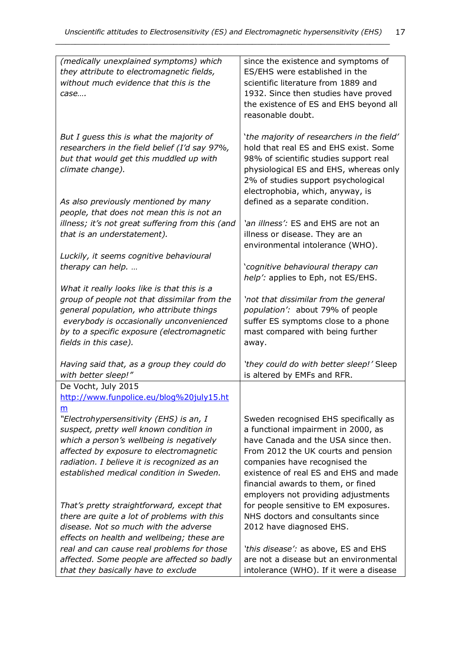| (medically unexplained symptoms) which                                             | since the existence and symptoms of        |
|------------------------------------------------------------------------------------|--------------------------------------------|
| they attribute to electromagnetic fields,                                          | ES/EHS were established in the             |
| without much evidence that this is the                                             | scientific literature from 1889 and        |
| case                                                                               | 1932. Since then studies have proved       |
|                                                                                    | the existence of ES and EHS beyond all     |
|                                                                                    | reasonable doubt.                          |
|                                                                                    |                                            |
| But I guess this is what the majority of                                           | 'the majority of researchers in the field' |
| researchers in the field belief (I'd say 97%,                                      | hold that real ES and EHS exist. Some      |
| but that would get this muddled up with                                            | 98% of scientific studies support real     |
| climate change).                                                                   | physiological ES and EHS, whereas only     |
|                                                                                    | 2% of studies support psychological        |
|                                                                                    | electrophobia, which, anyway, is           |
| As also previously mentioned by many                                               | defined as a separate condition.           |
| people, that does not mean this is not an                                          |                                            |
| illness; it's not great suffering from this (and                                   | 'an illness': ES and EHS are not an        |
| that is an understatement).                                                        | illness or disease. They are an            |
|                                                                                    |                                            |
|                                                                                    | environmental intolerance (WHO).           |
| Luckily, it seems cognitive behavioural                                            |                                            |
| therapy can help.                                                                  | 'cognitive behavioural therapy can         |
|                                                                                    | help': applies to Eph, not ES/EHS.         |
| What it really looks like is that this is a                                        |                                            |
| group of people not that dissimilar from the                                       | 'not that dissimilar from the general      |
| general population, who attribute things                                           | population': about 79% of people           |
| everybody is occasionally unconvenienced                                           | suffer ES symptoms close to a phone        |
| by to a specific exposure (electromagnetic                                         | mast compared with being further           |
| fields in this case).                                                              | away.                                      |
|                                                                                    |                                            |
| Having said that, as a group they could do<br>with better sleep!"                  | 'they could do with better sleep!' Sleep   |
| De Vocht, July 2015                                                                | is altered by EMFs and RFR.                |
| http://www.funpolice.eu/blog%20july15.ht                                           |                                            |
|                                                                                    |                                            |
| m                                                                                  |                                            |
| "Electrohypersensitivity (EHS) is an, I                                            | Sweden recognised EHS specifically as      |
| suspect, pretty well known condition in                                            | a functional impairment in 2000, as        |
| which a person's wellbeing is negatively                                           | have Canada and the USA since then.        |
| affected by exposure to electromagnetic                                            | From 2012 the UK courts and pension        |
| radiation. I believe it is recognized as an                                        | companies have recognised the              |
| established medical condition in Sweden.                                           | existence of real ES and EHS and made      |
|                                                                                    | financial awards to them, or fined         |
|                                                                                    | employers not providing adjustments        |
| That's pretty straightforward, except that                                         | for people sensitive to EM exposures.      |
| there are quite a lot of problems with this                                        | NHS doctors and consultants since          |
| disease. Not so much with the adverse                                              | 2012 have diagnosed EHS.                   |
| effects on health and wellbeing; these are                                         |                                            |
| real and can cause real problems for those                                         | 'this disease': as above, ES and EHS       |
| affected. Some people are affected so badly<br>that they basically have to exclude | are not a disease but an environmental     |
|                                                                                    | intolerance (WHO). If it were a disease    |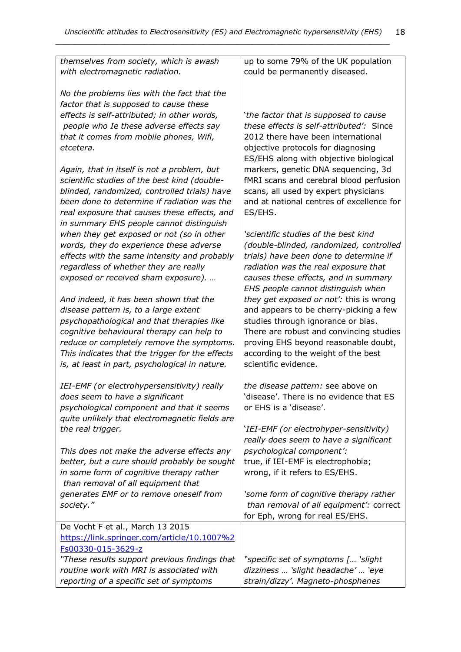| themselves from society, which is awash<br>with electromagnetic radiation.                                                                                                                                                                                                                                                   | up to some 79% of the UK population<br>could be permanently diseased.                                                                                                                                                                                                     |
|------------------------------------------------------------------------------------------------------------------------------------------------------------------------------------------------------------------------------------------------------------------------------------------------------------------------------|---------------------------------------------------------------------------------------------------------------------------------------------------------------------------------------------------------------------------------------------------------------------------|
| No the problems lies with the fact that the<br>factor that is supposed to cause these<br>effects is self-attributed; in other words,<br>people who Ie these adverse effects say<br>that it comes from mobile phones, Wifi,<br>etcetera.<br>Again, that in itself is not a problem, but                                       | 'the factor that is supposed to cause<br>these effects is self-attributed': Since<br>2012 there have been international<br>objective protocols for diagnosing<br>ES/EHS along with objective biological<br>markers, genetic DNA sequencing, 3d                            |
| scientific studies of the best kind (double-<br>blinded, randomized, controlled trials) have<br>been done to determine if radiation was the<br>real exposure that causes these effects, and<br>in summary EHS people cannot distinguish                                                                                      | fMRI scans and cerebral blood perfusion<br>scans, all used by expert physicians<br>and at national centres of excellence for<br>ES/EHS.                                                                                                                                   |
| when they get exposed or not (so in other<br>words, they do experience these adverse<br>effects with the same intensity and probably<br>regardless of whether they are really<br>exposed or received sham exposure).                                                                                                         | 'scientific studies of the best kind<br>(double-blinded, randomized, controlled<br>trials) have been done to determine if<br>radiation was the real exposure that<br>causes these effects, and in summary<br>EHS people cannot distinguish when                           |
| And indeed, it has been shown that the<br>disease pattern is, to a large extent<br>psychopathological and that therapies like<br>cognitive behavioural therapy can help to<br>reduce or completely remove the symptoms.<br>This indicates that the trigger for the effects<br>is, at least in part, psychological in nature. | they get exposed or not': this is wrong<br>and appears to be cherry-picking a few<br>studies through ignorance or bias.<br>There are robust and convincing studies<br>proving EHS beyond reasonable doubt,<br>according to the weight of the best<br>scientific evidence. |
| IEI-EMF (or electrohypersensitivity) really<br>does seem to have a significant<br>psychological component and that it seems<br>quite unlikely that electromagnetic fields are                                                                                                                                                | the disease pattern: see above on<br>'disease'. There is no evidence that ES<br>or EHS is a 'disease'.                                                                                                                                                                    |
| the real trigger.<br>This does not make the adverse effects any<br>better, but a cure should probably be sought<br>in some form of cognitive therapy rather<br>than removal of all equipment that                                                                                                                            | 'IEI-EMF (or electrohyper-sensitivity)<br>really does seem to have a significant<br>psychological component':<br>true, if IEI-EMF is electrophobia;<br>wrong, if it refers to ES/EHS.                                                                                     |
| generates EMF or to remove oneself from<br>society."                                                                                                                                                                                                                                                                         | 'some form of cognitive therapy rather<br>than removal of all equipment': correct<br>for Eph, wrong for real ES/EHS.                                                                                                                                                      |
| De Vocht F et al., March 13 2015<br>https://link.springer.com/article/10.1007%2<br>Fs00330-015-3629-z                                                                                                                                                                                                                        |                                                                                                                                                                                                                                                                           |
| "These results support previous findings that<br>routine work with MRI is associated with<br>reporting of a specific set of symptoms                                                                                                                                                                                         | "specific set of symptoms [ 'slight<br>dizziness  'slight headache'  'eye<br>strain/dizzy'. Magneto-phosphenes                                                                                                                                                            |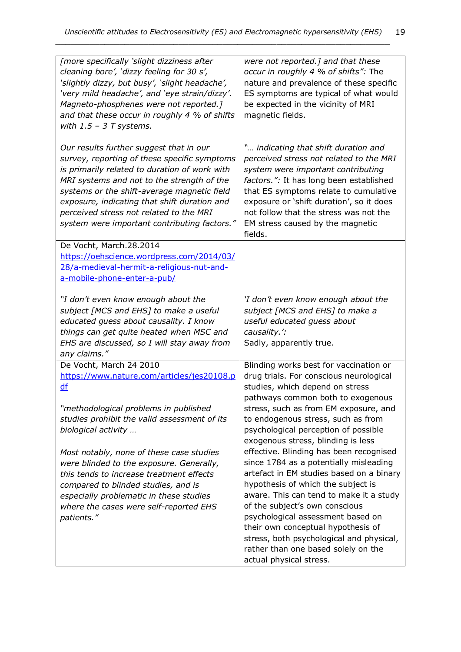| [more specifically 'slight dizziness after<br>cleaning bore', 'dizzy feeling for 30 s',<br>'slightly dizzy, but busy', 'slight headache',<br>'very mild headache', and 'eye strain/dizzy'.<br>Magneto-phosphenes were not reported.]<br>and that these occur in roughly 4 % of shifts<br>with $1.5 - 3T$ systems.                                                                          | were not reported.] and that these<br>occur in roughly 4 % of shifts": The<br>nature and prevalence of these specific<br>ES symptoms are typical of what would<br>be expected in the vicinity of MRI<br>magnetic fields.                                                                                                                                                                                                                                                                                                      |
|--------------------------------------------------------------------------------------------------------------------------------------------------------------------------------------------------------------------------------------------------------------------------------------------------------------------------------------------------------------------------------------------|-------------------------------------------------------------------------------------------------------------------------------------------------------------------------------------------------------------------------------------------------------------------------------------------------------------------------------------------------------------------------------------------------------------------------------------------------------------------------------------------------------------------------------|
| Our results further suggest that in our<br>survey, reporting of these specific symptoms<br>is primarily related to duration of work with<br>MRI systems and not to the strength of the<br>systems or the shift-average magnetic field<br>exposure, indicating that shift duration and<br>perceived stress not related to the MRI<br>system were important contributing factors."           | " indicating that shift duration and<br>perceived stress not related to the MRI<br>system were important contributing<br>factors.": It has long been established<br>that ES symptoms relate to cumulative<br>exposure or 'shift duration', so it does<br>not follow that the stress was not the<br>EM stress caused by the magnetic<br>fields.                                                                                                                                                                                |
| De Vocht, March.28.2014                                                                                                                                                                                                                                                                                                                                                                    |                                                                                                                                                                                                                                                                                                                                                                                                                                                                                                                               |
| https://oehscience.wordpress.com/2014/03/<br>28/a-medieval-hermit-a-religious-nut-and-                                                                                                                                                                                                                                                                                                     |                                                                                                                                                                                                                                                                                                                                                                                                                                                                                                                               |
| a-mobile-phone-enter-a-pub/                                                                                                                                                                                                                                                                                                                                                                |                                                                                                                                                                                                                                                                                                                                                                                                                                                                                                                               |
| "I don't even know enough about the<br>subject [MCS and EHS] to make a useful<br>educated guess about causality. I know<br>things can get quite heated when MSC and<br>EHS are discussed, so I will stay away from<br>any claims."                                                                                                                                                         | 'I don't even know enough about the<br>subject [MCS and EHS] to make a<br>useful educated guess about<br>causality.':<br>Sadly, apparently true.                                                                                                                                                                                                                                                                                                                                                                              |
| De Vocht, March 24 2010                                                                                                                                                                                                                                                                                                                                                                    | Blinding works best for vaccination or                                                                                                                                                                                                                                                                                                                                                                                                                                                                                        |
| https://www.nature.com/articles/jes20108.p<br>df                                                                                                                                                                                                                                                                                                                                           | drug trials. For conscious neurological<br>studies, which depend on stress                                                                                                                                                                                                                                                                                                                                                                                                                                                    |
| "methodological problems in published<br>studies prohibit the valid assessment of its<br>biological activity<br>Most notably, none of these case studies<br>were blinded to the exposure. Generally,<br>this tends to increase treatment effects<br>compared to blinded studies, and is<br>especially problematic in these studies<br>where the cases were self-reported EHS<br>patients." | pathways common both to exogenous<br>stress, such as from EM exposure, and<br>to endogenous stress, such as from<br>psychological perception of possible<br>exogenous stress, blinding is less<br>effective. Blinding has been recognised<br>since 1784 as a potentially misleading<br>artefact in EM studies based on a binary<br>hypothesis of which the subject is<br>aware. This can tend to make it a study<br>of the subject's own conscious<br>psychological assessment based on<br>their own conceptual hypothesis of |
|                                                                                                                                                                                                                                                                                                                                                                                            | stress, both psychological and physical,<br>rather than one based solely on the<br>actual physical stress.                                                                                                                                                                                                                                                                                                                                                                                                                    |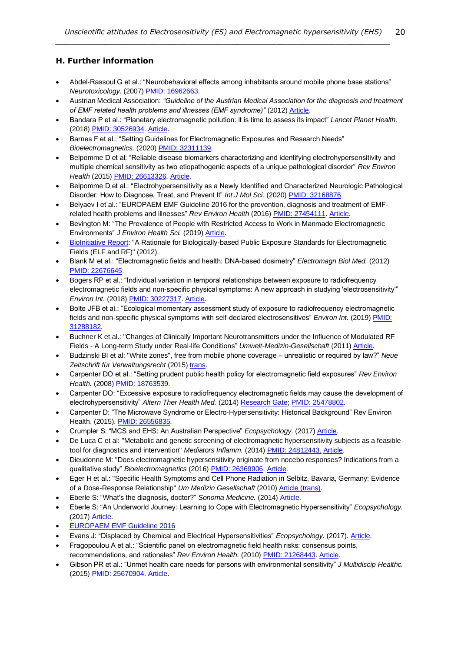# **H. Further information**

• Abdel-Rassoul G et al.: "Neurobehavioral effects among inhabitants around mobile phone base stations" *Neurotoxicology.* (2007) [PMID: 16962663.](https://www.ncbi.nlm.nih.gov/pubmed/16962663)

- Austrian Medical Association: *"Guideline of the Austrian Medical Association for the diagnosis and treatment of EMF related health problems and illnesses (EMF syndrome)"* (2012[\) Article.](http://freiburger-appell-2012.info/media/EMF%20Guideline%20OAK-AG%20%202012%2003%2003.pdf)
- Bandara P et al.: "Planetary electromagnetic pollution: it is time to assess its impact" *Lancet Planet Health.* (2018[\) PMID: 30526934.](https://www.ncbi.nlm.nih.gov/pubmed/30526934) [Article.](https://www.sciencedirect.com/science/article/pii/S2542519618302213?via%3Dihub)
- Barnes F et al.: "Setting Guidelines for Electromagnetic Exposures and Research Needs" *Bioelectromagnetics.* (2020) PMID: [32311139.](https://pubmed.ncbi.nlm.nih.gov/32311139/)
- Belpomme D et al: "Reliable disease biomarkers characterizing and identifying electrohypersensitivity and multiple chemical sensitivity as two etiopathogenic aspects of a unique pathological disorder" *Rev Environ Health* (2015) [PMID: 26613326.](http://www.ncbi.nlm.nih.gov/pubmed/26613326) [Article.](http://www.ehs-mcs.org/fichiers/1454070991_Reliable_biomarkers.pdf)
- Belpomme D et al.: "Electrohypersensitivity as a Newly Identified and Characterized Neurologic Pathological Disorder: How to Diagnose, Treat, and Prevent It" Int J Mol Sci. (2020[\) PMID: 32168876.](https://www.ncbi.nlm.nih.gov/pubmed/32168876)
- Belyaev I et al.: "EUROPAEM EMF Guideline 2016 for the prevention, diagnosis and treatment of EMFrelated health problems and illnesses" *Rev Environ Health* (2016[\) PMID: 27454111.](https://www.ncbi.nlm.nih.gov/pubmed/27454111) [Article.](https://www.degruyter.com/downloadpdf/j/reveh.2016.31.issue-3/reveh-2016-0011/reveh-2016-0011.pdf)
- Bevington M: "The Prevalence of People with Restricted Access to Work in Manmade Electromagnetic Environments" *J Environ Health Sci.* (2019) [Article.](https://www.ommegaonline.org/article-details/The-Prevalence-of-People-With-Restricted-Access-to-Work-in-Man-Made-Electromagnetic-Environments/2402)
- [BioInitiative Report:](http://www.bioinitiative.org/) "A Rationale for Biologically-based Public Exposure Standards for Electromagnetic Fields (ELF and RF)" (2012).
- Blank M et al.: "Electromagnetic fields and health: DNA-based dosimetry" *Electromagn Biol Med.* (2012) [PMID: 22676645.](http://www.ncbi.nlm.nih.gov/pubmed/22676645)
- Bogers RP et al.: "Individual variation in temporal relationships between exposure to radiofrequency electromagnetic fields and non-specific physical symptoms: A new approach in studying 'electrosensitivity'" *Environ Int.* (2018[\) PMID: 30227317.](https://www.ncbi.nlm.nih.gov/pubmed/30227317) [Article.](https://www.sciencedirect.com/science/article/pii/S0160412018303088?via%3Dihub)
- Bolte JFB et al.: "Ecological momentary assessment study of exposure to radiofrequency electromagnetic fields and non-specific physical symptoms with self-declared electrosensitives" *Environ Int.* (2019[\) PMID:](https://www.ncbi.nlm.nih.gov/pubmed/31288182)  [31288182.](https://www.ncbi.nlm.nih.gov/pubmed/31288182)
- Buchner K et al.: "Changes of Clinically Important Neurotransmitters under the Influence of Modulated RF Fields - A Long-term Study under Real-life Conditions" *Umwelt-Medizin-Gesellschaft* (2011) [Article.](https://www.avaate.org/IMG/pdf/Rimbach-Study-20112.pdf)
- Budzinski BI et al: "White zones", free from mobile phone coverage unrealistic or required by law?" *Neue Zeitschrift für Verwaltungsrecht* (2015) [trans.](http://kompetenzinitiative.net/KIT/wp-content/uploads/2015/11/White-Zones_Budzinski_Kuehling_Nov_2015.pdf)
- Carpenter DO et al.: "Setting prudent public health policy for electromagnetic field exposures" *Rev Environ Health.* (2008[\) PMID: 18763539.](https://www.ncbi.nlm.nih.gov/pubmed/18763539)
- Carpenter DO: "Excessive exposure to radiofrequency electromagnetic fields may cause the development of electrohypersensitivity" *Altern Ther Health Med.* (2014[\) Research Gate;](https://www.google.co.uk/url?sa=t&rct=j&q=&esrc=s&source=web&cd=1&ved=0ahUKEwiL0Pn7yvXKAhXHbRQKHVnADXQQFggjMAA&url=https%3A%2F%2Fwww.researchgate.net%2Fpublication%2F269184131_Excessive_Exposure_to_Radiofrequency_Electromagnetic_Fields_May_Cause_the_Development_of_Electrohypersensitivity&usg=AFQjCNHQMBc3ny6za0bdhBFp8n9F4P7N4Q&sig2=AMBUtTrlFOmdxU__45iXBg) [PMID: 25478802.](http://www.ncbi.nlm.nih.gov/pubmed/25478802)
- Carpenter D: "The Microwave Syndrome or Electro-Hypersensitivity: Historical Background" Rev Environ Health. (2015). PMID: [26556835.](https://pubmed.ncbi.nlm.nih.gov/26556835/)
- Crumpler S: "MCS and EHS: An Australian Perspective" *Ecopsychology.* (2017[\) Article.](https://www.liebertpub.com/doi/pdf/10.1089/eco.2016.0041)
- De Luca C et al: "Metabolic and genetic screening of electromagnetic hypersensitivity subjects as a feasible tool for diagnostics and intervention" *Mediators Inflamm.* (2014) [PMID: 24812443.](http://www.ncbi.nlm.nih.gov/pubmed/24812443) [Article.](http://www.ncbi.nlm.nih.gov/pmc/articles/PMC4000647/pdf/MI2014-924184.pdf)
- Dieudonne M: "Does electromagnetic hypersensitivity originate from nocebo responses? Indications from a qualitative study" *Bioelectromagnetics* (2016) PMID: [26369906.](http://www.ncbi.nlm.nih.gov/pubmed/26369906) [Article.](https://core.ac.uk/download/pdf/47325643.pdf)
- Eger H et al.: "Specific Health Symptoms and Cell Phone Radiation in Selbitz, Bavaria, Germany: Evidence of a Dose-Response Relationship" *Um Medizin Gesellschaft* (2010[\) Article \(trans\)](http://www.next-up.org/pdf/Horst_Eger_Manfred_Jahn_Scientific_Health_Symptoms_and_Cell_Phone_Radiation_in_Selbitz_Germany_2010.pdf).
- Eberle S: "What's the diagnosis, doctor?" *Sonoma Medicine.* (2014[\) Article.](http://www.cqlpe.ca/pdf/What)
- Eberle S: "An Underworld Journey: Learning to Cope with Electromagnetic Hypersensitivity" *Ecopsychology.*  (2017[\) Article.](https://www.liebertpub.com/doi/pdf/10.1089/eco.2016.0036)
- [EUROPAEM EMF Guideline 2016](https://europaem.eu/en/library/blog-en/97-europaem-emf-guideline-2016)
- Evans J: "Displaced by Chemical and Electrical Hypersensitivities" *Ecopsychology.* (2017)[. Article.](https://www.liebertpub.com/doi/pdf/10.1089/eco.2017.0010)
- Fragopoulou A et al.: "Scientific panel on electromagnetic field health risks: consensus points, recommendations, and rationales" *Rev Environ Health.* (2010[\) PMID: 21268443.](http://www.ncbi.nlm.nih.gov/pubmed/21268443) [Article.](http://emfsafetynetwork.org/wp-content/uploads/2011/07/Seletun-Statement-2010.pdf)
- Gibson PR et al.: "Unmet health care needs for persons with environmental sensitivity" *J Multidiscip Healthc.* (2015[\) PMID: 25670904.](http://www.ncbi.nlm.nih.gov/pubmed/25670904) [Article.](https://www.ncbi.nlm.nih.gov/pmc/articles/PMC4315542/pdf/jmdh-8-059.pdf)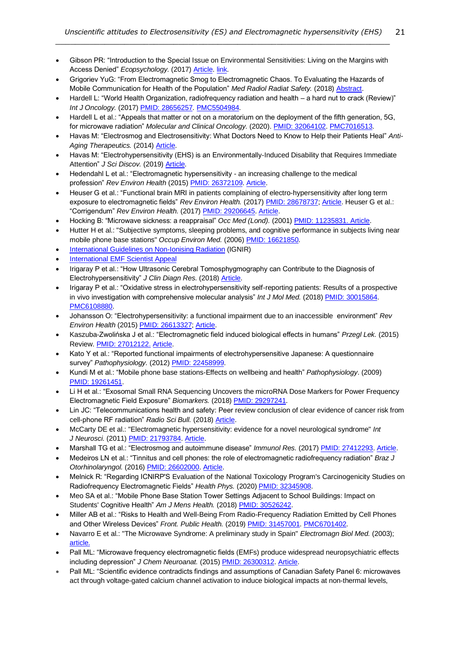• Gibson PR: "Introduction to the Special Issue on Environmental Sensitivities: Living on the Margins with Access Denied" *Ecopsychology.* (2017[\) Article.](https://www.liebertpub.com/doi/pdf/10.1089/eco.2017.0017) [link.](http://online.liebertpub.com/toc/eco/9/2)

- Grigoriev YuG: "From Electromagnetic Smog to Electromagnetic Chaos. To Evaluating the Hazards of Mobile Communication for Health of the Population" *Med Radiol Radiat Safety.* (2018) [Abstract.](https://www.radiationresearch.org/wp-content/uploads/2018/07/Yuri-Grigoriev-abstract-From-Electromagnetic-Smog-to-Electromagnetic-Chaos.pdf)
- Hardell L: "World Health Organization, radiofrequency radiation and health a hard nut to crack (Review)" *Int J Oncology.* (2017) [PMID: 28656257.](https://www.ncbi.nlm.nih.gov/pubmed/28656257) [PMC5504984.](https://www.ncbi.nlm.nih.gov/pmc/articles/PMC5504984/)
- Hardell L et al.: "Appeals that matter or not on a moratorium on the deployment of the fifth generation, 5G, for microwave radiation" *Molecular and Clinical Oncology.* (2020). [PMID: 32064102.](https://www.ncbi.nlm.nih.gov/pubmed/32064102) [PMC7016513.](https://www.ncbi.nlm.nih.gov/pmc/articles/PMC7016513/)
- Havas M: "Electrosmog and Electrosensitivity: What Doctors Need to Know to Help their Patients Heal" *Anti-Aging Therapeutics.* (2014) [Article.](https://books.google.co.uk/books?hl=en&lr=&id=JEg9BAAAQBAJ&oi=fnd&pg=PP35&ots=WbLnTFLuh_&sig=7AGOWZTOsFqi8m0QUYryjLhpVbg)
- Havas M: "Electrohypersensitivity (EHS) is an Environmentally-Induced Disability that Requires Immediate Attention" *J Sci Discov.* (2019[\) Article.](http://www.e-discoverypublication.com/wp-content/uploads/2019/03/JSD18020-final.pdf)
- Hedendahl L et al.: "Electromagnetic hypersensitivity an increasing challenge to the medical profession" *Rev Environ Health* (2015) [PMID: 26372109.](http://www.ncbi.nlm.nih.gov/pubmed/26372109) [Article.](http://www.stralskyddsstiftelsen.se/wp-content/uploads/2016/04/hedendahl_hardell_2015.pdf)
- Heuser G et al.: "Functional brain MRI in patients complaining of electro-hypersensitivity after long term exposure to electromagnetic fields" *Rev Environ Health.* (2017) [PMID: 28678737;](https://www.ncbi.nlm.nih.gov/pubmed/28678737) [Article.](http://sci-hub.cc/10.1515/reveh-2017-0014) Heuser G et al.: "Corrigendum" *Rev Environ Health.* (2017[\) PMID: 29206645.](https://www.ncbi.nlm.nih.gov/pubmed/29206645) [Article.](https://www.degruyter.com/view/j/reveh.2017.32.issue-3/reveh-2017-0014/reveh-2017-0014.xml)
- Hocking B: "Microwave sickness: a reappraisal" *Occ Med (Lond).* (2001[\) PMID: 11235831.](http://www.ncbi.nlm.nih.gov/pubmed/11235831) [Article.](https://www.google.co.uk/url?sa=t&rct=j&q=&esrc=s&source=web&cd=1&cad=rja&uact=8&ved=0ahUKEwij6tT8iKHNAhWMJ8AKHZ9vArgQFggcMAA&url=https%3A%2F%2Foccmed.oxfordjournals.org%2Fcontent%2F51%2F1%2F66.full.pdf%2Bhtml&usg=AFQjCNGw8FC7Ydlk3zG8c6J_4HO1YY83AA&sig2=gy4bTvrNKhfmRlSplI9nJA)
- Hutter H et al.: "Subjective symptoms, sleeping problems, and cognitive performance in subjects living near mobile phone base stations" *Occup Environ Med.* (2006) [PMID: 16621850.](http://www.ncbi.nlm.nih.gov/pubmed/16621850)
- **[International Guidelines on Non-Ionising Radiation](https://ignir.org/) (IGNIR)**
- [International EMF Scientist Appeal](https://www.emfscientist.org/)
- Irigaray P et al.: "How Ultrasonic Cerebral Tomosphygmography can Contribute to the Diagnosis of Electrohypersensitivity" *J Clin Diagn Res.* (2018[\) Article.](https://www.omicsonline.org/open-access/how-ultrasonic-cerebral-tomosphygmography-can-contribute-to-the-diagnosis-of-electrohypersensitivity-2376-0311-1000142.pdf)
- Irigaray P et al.: "Oxidative stress in electrohypersensitivity self-reporting patients: Results of a prospective in vivo investigation with comprehensive molecular analysis" *Int J Mol Med.* (2018[\) PMID: 30015864.](https://www.ncbi.nlm.nih.gov/pubmed/30015864) [PMC6108880.](https://www.ncbi.nlm.nih.gov/pmc/articles/PMC6108880/)
- Johansson O: "Electrohypersensitivity: a functional impairment due to an inaccessible environment" *Rev Environ Health* (2015) [PMID: 26613327;](http://www.ncbi.nlm.nih.gov/pubmed/26613327) [Article.](http://www.bemri.org/publications/electrosensitivity/464-johansson-2015-functional-impairment/file.html)
- Kaszuba-Zwolińska J et al.: "Electromagnetic field induced biological effects in humans" *Przegl Lek.* (2015) Review[. PMID: 27012122.](http://www.ncbi.nlm.nih.gov/pubmed/27012122) [Article.](http://wple.net/plek/numery_2015/numer-11-2015/636-641.pdf)
- Kato Y et al.: "Reported functional impairments of electrohypersensitive Japanese: A questionnaire survey" *Pathophysiology.* (2012[\) PMID: 22458999.](http://www.ncbi.nlm.nih.gov/pubmed/?term=22458999)
- Kundi M et al.: "Mobile phone base stations-Effects on wellbeing and health" *Pathophysiology*. (2009) [PMID: 19261451.](https://www.ncbi.nlm.nih.gov/pubmed/19261451)
- Li H et al.: "Exosomal Small RNA Sequencing Uncovers the microRNA Dose Markers for Power Frequency Electromagnetic Field Exposure" *Biomarkers.* (2018[\) PMID: 29297241.](https://www.ncbi.nlm.nih.gov/pubmed/29297241)
- Lin JC: "Telecommunications health and safety: Peer review conclusion of clear evidence of cancer risk from cell-phone RF radiation" *Radio Sci Bull.* (2018) [Article.](https://ieeexplore.ieee.org/stamp/stamp.jsp?tp=&arnumber=8486776)
- McCarty DE et al.: "Electromagnetic hypersensitivity: evidence for a novel neurological syndrome" *Int J Neurosci.* (2011) [PMID: 21793784.](http://www.ncbi.nlm.nih.gov/pubmed/?term=21793784) [Article.](http://www.fraw.org.uk/data/esmog/mccarty_2011.pdf)
- Marshall TG et al.: "Electrosmog and autoimmune disease" *Immunol Res.* (2017) [PMID: 27412293.](http://www.ncbi.nlm.nih.gov/pubmed/27412293) [Article.](https://www.ncbi.nlm.nih.gov/pmc/articles/PMC5406447/pdf/12026_2016_Article_8825.pdf)
- Medeiros LN et al.: "Tinnitus and cell phones: the role of electromagnetic radiofrequency radiation" *Braz J Otorhinolaryngol.* (2016[\) PMID: 26602000.](http://www.ncbi.nlm.nih.gov/pubmed/26602000) [Article.](http://ac.els-cdn.com/S1808869415001639/1-s2.0-S1808869415001639-main.pdf?_tid=b446fcae-8397-11e7-a385-00000aab0f6b&acdnat=1503007504_325fa43d087ded901b17f071c875885b)
- Melnick R: "Regarding ICNIRP'S Evaluation of the National Toxicology Program's Carcinogenicity Studies on Radiofrequency Electromagnetic Fields" *Health Phys.* (2020) PMID: [32345908.](https://pubmed.ncbi.nlm.nih.gov/32345908/)
- Meo SA et al.: "Mobile Phone Base Station Tower Settings Adjacent to School Buildings: Impact on Students' Cognitive Health" *Am J Mens Health.* (2018[\) PMID: 30526242.](https://www.ncbi.nlm.nih.gov/pubmed/30526242)
- Miller AB et al.: "Risks to Health and Well-Being From Radio-Frequency Radiation Emitted by Cell Phones and Other Wireless Devices" *Front. Public Health.* (2019[\) PMID: 31457001.](https://www.ncbi.nlm.nih.gov/pubmed/31457001) [PMC6701402.](https://www.ncbi.nlm.nih.gov/pmc/articles/PMC6701402/)
- Navarro E et al.: "The Microwave Syndrome: A preliminary study in Spain" *Electromagn Biol Med.* (2003); [article.](http://media.withtank.com/737bdee4a6.pdf)
- Pall ML: "Microwave frequency electromagnetic fields (EMFs) produce widespread neuropsychiatric effects including depression" *J Chem Neuroanat.* (2015[\) PMID: 26300312.](http://www.ncbi.nlm.nih.gov/pubmed/26300312) [Article.](https://www.sciencedirect.com/science/article/pii/S0891061815000599?via%3Dihub)
- Pall ML: "Scientific evidence contradicts findings and assumptions of Canadian Safety Panel 6: microwaves act through voltage-gated calcium channel activation to induce biological impacts at non-thermal levels,